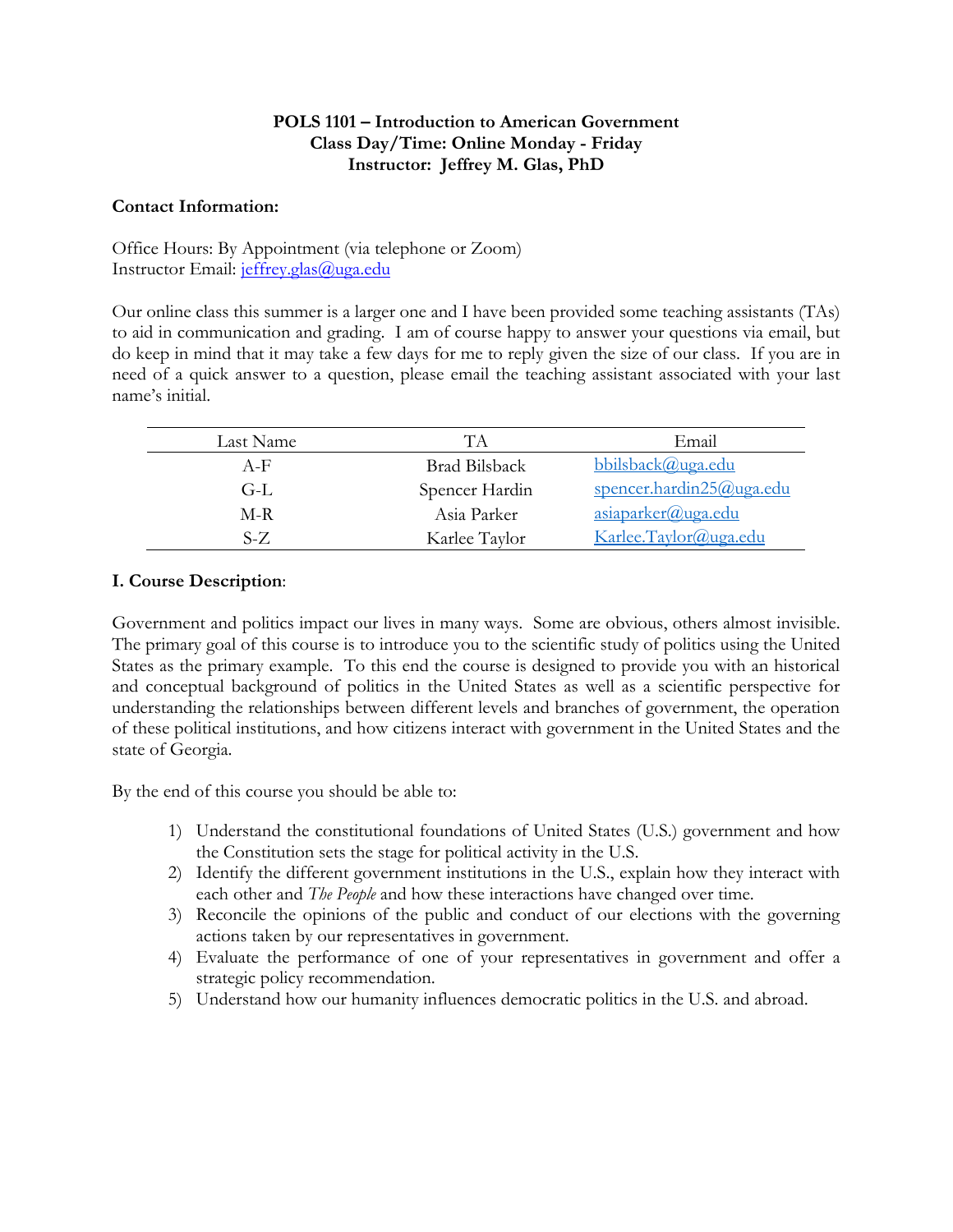# **POLS 1101 – Introduction to American Government Class Day/Time: Online Monday - Friday Instructor: Jeffrey M. Glas, PhD**

## **Contact Information:**

Office Hours: By Appointment (via telephone or Zoom) Instructor Email: [jeffrey.glas@uga.edu](mailto:jeffrey.glas@uga.edu)

Our online class this summer is a larger one and I have been provided some teaching assistants (TAs) to aid in communication and grading. I am of course happy to answer your questions via email, but do keep in mind that it may take a few days for me to reply given the size of our class. If you are in need of a quick answer to a question, please email the teaching assistant associated with your last name's initial.

| Last Name | TА             | Email                    |
|-----------|----------------|--------------------------|
| $A-F$     | Brad Bilsback  | bbilsback@uga.edu        |
| G-L       | Spencer Hardin | spencer.hardin25@uga.edu |
| M-R       | Asia Parker    | asiaparker@uga.edu       |
| $S-Z$     | Karlee Taylor  | Karlee.Taylor@uga.edu    |

# **I. Course Description**:

Government and politics impact our lives in many ways. Some are obvious, others almost invisible. The primary goal of this course is to introduce you to the scientific study of politics using the United States as the primary example. To this end the course is designed to provide you with an historical and conceptual background of politics in the United States as well as a scientific perspective for understanding the relationships between different levels and branches of government, the operation of these political institutions, and how citizens interact with government in the United States and the state of Georgia.

By the end of this course you should be able to:

- 1) Understand the constitutional foundations of United States (U.S.) government and how the Constitution sets the stage for political activity in the U.S.
- 2) Identify the different government institutions in the U.S., explain how they interact with each other and *The People* and how these interactions have changed over time.
- 3) Reconcile the opinions of the public and conduct of our elections with the governing actions taken by our representatives in government.
- 4) Evaluate the performance of one of your representatives in government and offer a strategic policy recommendation.
- 5) Understand how our humanity influences democratic politics in the U.S. and abroad.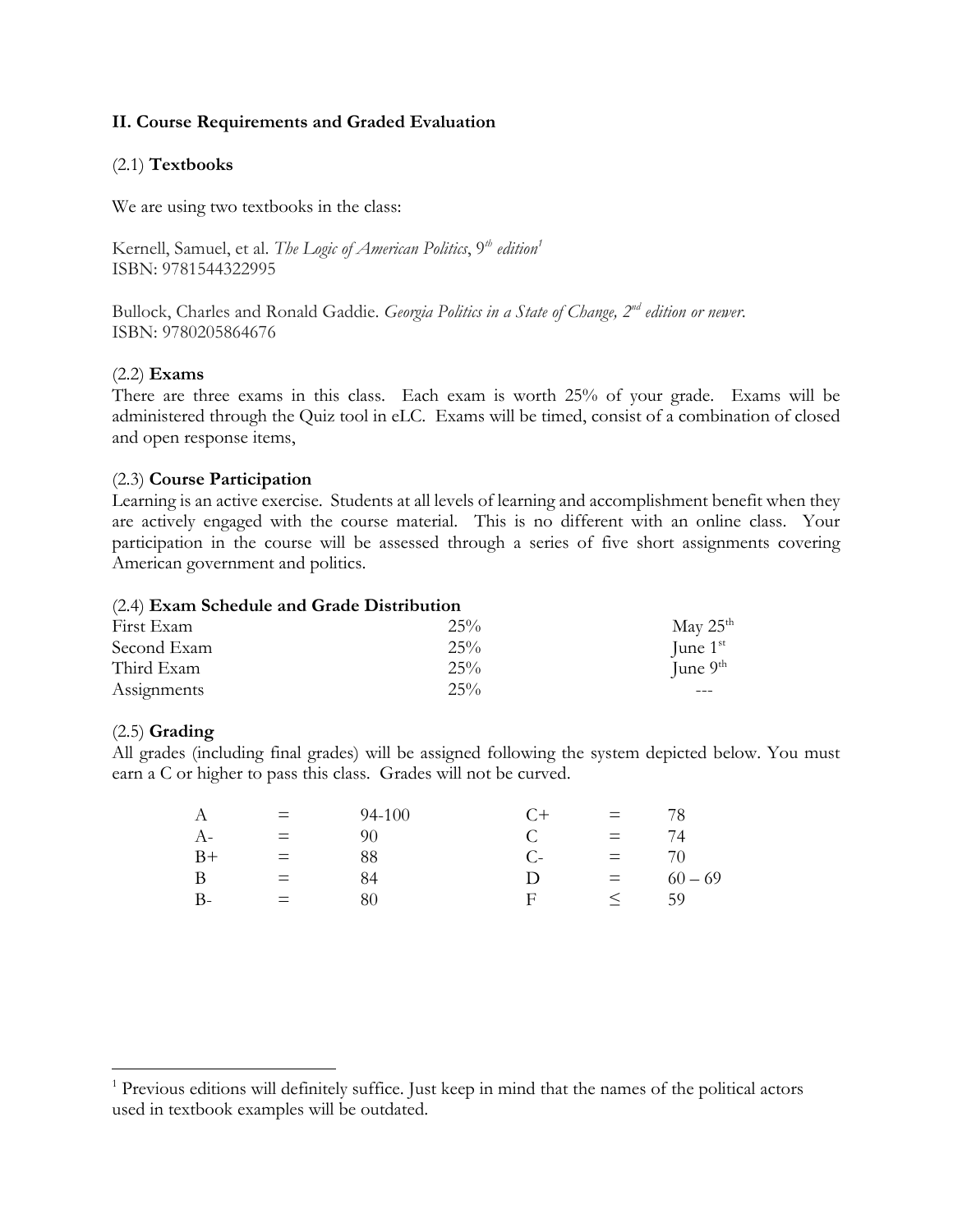# **II. Course Requirements and Graded Evaluation**

## (2.1) **Textbooks**

We are using two textbooks in the class:

Kernell, Samuel, et al. *The Logic of American Politics*, 9*th edition<sup>1</sup>* ISBN: 9781544322995

Bullock, Charles and Ronald Gaddie. *Georgia Politics in a State of Change, 2nd edition or newer*. ISBN: 9780205864676

### (2.2) **Exams**

There are three exams in this class. Each exam is worth 25% of your grade. Exams will be administered through the Quiz tool in eLC. Exams will be timed, consist of a combination of closed and open response items,

## (2.3) **Course Participation**

Learning is an active exercise. Students at all levels of learning and accomplishment benefit when they are actively engaged with the course material. This is no different with an online class. Your participation in the course will be assessed through a series of five short assignments covering American government and politics.

#### (2.4) **Exam Schedule and Grade Distribution**

| First Exam  | 25%    | May $25^{\text{th}}$ |
|-------------|--------|----------------------|
|             |        |                      |
| Second Exam | 25%    | June $1st$           |
| Third Exam  | $25\%$ | June $9th$           |
| Assignments | 25%    |                      |

### (2.5) **Grading**

 $\overline{a}$ 

All grades (including final grades) will be assigned following the system depicted below. You must earn a C or higher to pass this class. Grades will not be curved.

| А    | $\equiv$ | 94-100 | C+   | $=$      | 78.       |
|------|----------|--------|------|----------|-----------|
| $A-$ | $=$      | 90     |      | $=$      | 74        |
| $B+$ | $=$      | 88     | $C-$ | $=$      | 70.       |
| B    | $=$      | 84     | I)   | $\equiv$ | $60 - 69$ |
| $B-$ | $=$      | 80     | F    |          | 59        |

<sup>&</sup>lt;sup>1</sup> Previous editions will definitely suffice. Just keep in mind that the names of the political actors used in textbook examples will be outdated.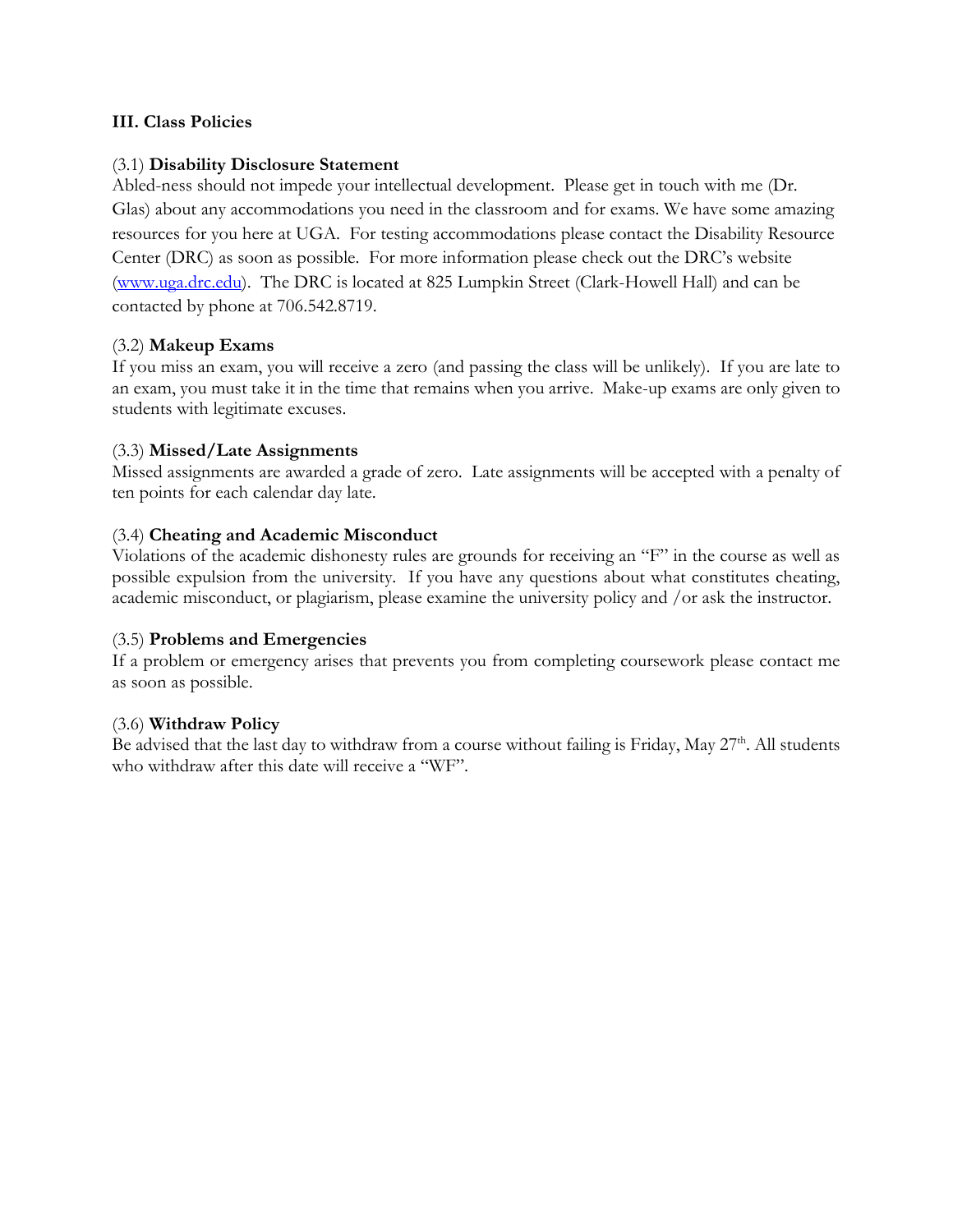# **III. Class Policies**

## (3.1) **Disability Disclosure Statement**

Abled-ness should not impede your intellectual development. Please get in touch with me (Dr. Glas) about any accommodations you need in the classroom and for exams. We have some amazing resources for you here at UGA. For testing accommodations please contact the Disability Resource Center (DRC) as soon as possible. For more information please check out the DRC's website [\(www.uga.drc.edu\)](http://www.uga.drc.edu/). The DRC is located at 825 Lumpkin Street (Clark-Howell Hall) and can be contacted by phone at 706.542.8719.

## (3.2) **Makeup Exams**

If you miss an exam, you will receive a zero (and passing the class will be unlikely). If you are late to an exam, you must take it in the time that remains when you arrive. Make-up exams are only given to students with legitimate excuses.

## (3.3) **Missed/Late Assignments**

Missed assignments are awarded a grade of zero. Late assignments will be accepted with a penalty of ten points for each calendar day late.

# (3.4) **Cheating and Academic Misconduct**

Violations of the academic dishonesty rules are grounds for receiving an "F" in the course as well as possible expulsion from the university. If you have any questions about what constitutes cheating, academic misconduct, or plagiarism, please examine the university policy and /or ask the instructor.

### (3.5) **Problems and Emergencies**

If a problem or emergency arises that prevents you from completing coursework please contact me as soon as possible.

# (3.6) **Withdraw Policy**

Be advised that the last day to withdraw from a course without failing is Friday, May  $27^{\text{th}}$ . All students who withdraw after this date will receive a "WF".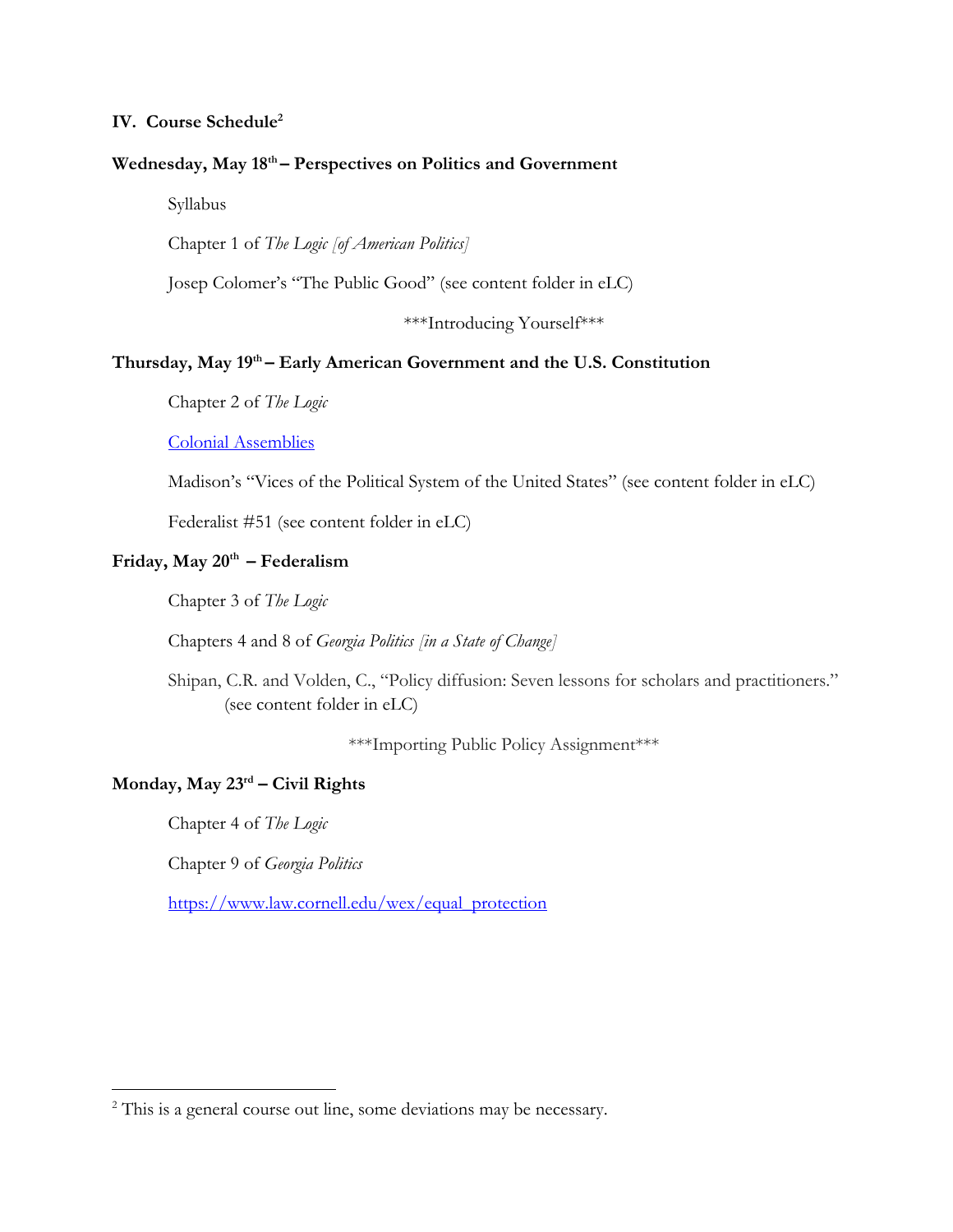# **IV. Course Schedule<sup>2</sup>**

### **Wednesday, May 18 th – Perspectives on Politics and Government**

Syllabus

Chapter 1 of *The Logic [of American Politics]*

Josep Colomer's "The Public Good" (see content folder in eLC)

\*\*\*Introducing Yourself\*\*\*

# **Thursday, May 19th – Early American Government and the U.S. Constitution**

Chapter 2 of *The Logic*

[Colonial Assemblies](https://www.encyclopedia.com/history/united-states-and-canada/us-history/colonial-assemblies)

Madison's "Vices of the Political System of the United States" (see content folder in eLC)

Federalist #51 (see content folder in eLC)

# **Friday, May 20th – Federalism**

Chapter 3 of *The Logic*

Chapters 4 and 8 of *Georgia Politics [in a State of Change]*

Shipan, C.R. and Volden, C., "Policy diffusion: Seven lessons for scholars and practitioners." (see content folder in eLC)

\*\*\*Importing Public Policy Assignment\*\*\*

### **Monday, May 23 rd – Civil Rights**

Chapter 4 of *The Logic*

 $\overline{a}$ 

Chapter 9 of *Georgia Politics*

[https://www.law.cornell.edu/wex/equal\\_protection](https://www.law.cornell.edu/wex/equal_protection)

<sup>&</sup>lt;sup>2</sup> This is a general course out line, some deviations may be necessary.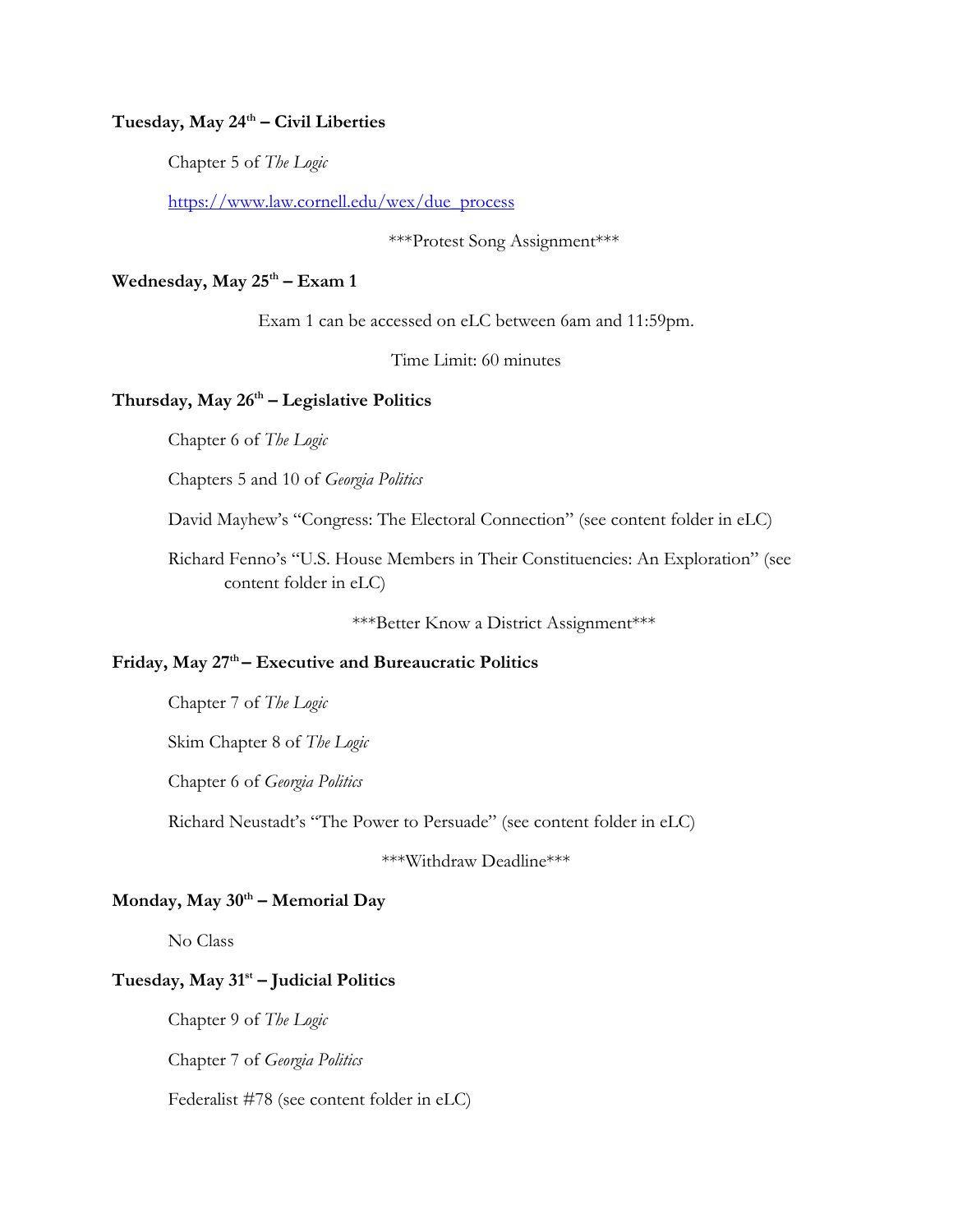## **Tuesday, May 24 th – Civil Liberties**

Chapter 5 of *The Logic*

[https://www.law.cornell.edu/wex/due\\_process](https://www.law.cornell.edu/wex/due_process)

### \*\*\*Protest Song Assignment\*\*\*

### **Wednesday, May 25 th – Exam 1**

Exam 1 can be accessed on eLC between 6am and 11:59pm.

Time Limit: 60 minutes

### **Thursday, May 26 th – Legislative Politics**

Chapter 6 of *The Logic*

Chapters 5 and 10 of *Georgia Politics*

David Mayhew's "Congress: The Electoral Connection" (see content folder in eLC)

Richard Fenno's "U.S. House Members in Their Constituencies: An Exploration" (see content folder in eLC)

\*\*\*Better Know a District Assignment\*\*\*

### **Friday, May 27 th – Executive and Bureaucratic Politics**

Chapter 7 of *The Logic*

Skim Chapter 8 of *The Logic*

Chapter 6 of *Georgia Politics*

Richard Neustadt's "The Power to Persuade" (see content folder in eLC)

\*\*\*Withdraw Deadline\*\*\*

## **Monday, May 30th – Memorial Day**

No Class

## **Tuesday, May 31st – Judicial Politics**

Chapter 9 of *The Logic*

Chapter 7 of *Georgia Politics*

Federalist #78 (see content folder in eLC)